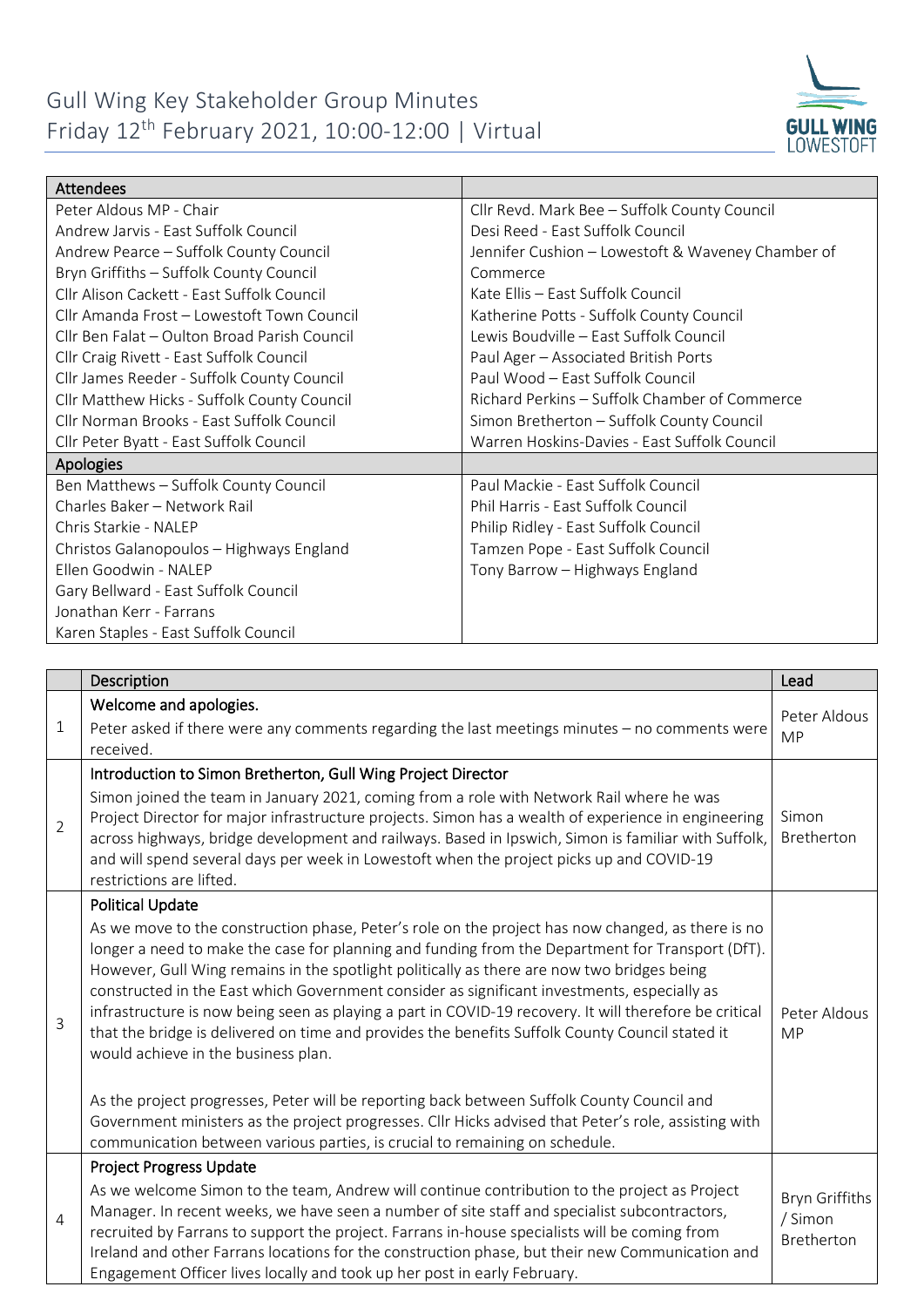

| <b>Attendees</b>                             |                                                   |
|----------------------------------------------|---------------------------------------------------|
| Peter Aldous MP - Chair                      | Cllr Revd. Mark Bee - Suffolk County Council      |
| Andrew Jarvis - East Suffolk Council         | Desi Reed - East Suffolk Council                  |
| Andrew Pearce - Suffolk County Council       | Jennifer Cushion - Lowestoft & Waveney Chamber of |
| Bryn Griffiths - Suffolk County Council      | Commerce                                          |
| Cllr Alison Cackett - East Suffolk Council   | Kate Ellis – East Suffolk Council                 |
| Cllr Amanda Frost - Lowestoft Town Council   | Katherine Potts - Suffolk County Council          |
| Cllr Ben Falat – Oulton Broad Parish Council | Lewis Boudville – East Suffolk Council            |
| Cllr Craig Rivett - East Suffolk Council     | Paul Ager - Associated British Ports              |
| Cllr James Reeder - Suffolk County Council   | Paul Wood - East Suffolk Council                  |
| Cllr Matthew Hicks - Suffolk County Council  | Richard Perkins - Suffolk Chamber of Commerce     |
| Cllr Norman Brooks - East Suffolk Council    | Simon Bretherton - Suffolk County Council         |
| Cllr Peter Byatt - East Suffolk Council      | Warren Hoskins-Davies - East Suffolk Council      |
| Apologies                                    |                                                   |
| Ben Matthews - Suffolk County Council        | Paul Mackie - East Suffolk Council                |
| Charles Baker - Network Rail                 | Phil Harris - East Suffolk Council                |
| Chris Starkie - NALEP                        | Philip Ridley - East Suffolk Council              |
| Christos Galanopoulos - Highways England     | Tamzen Pope - East Suffolk Council                |
| Ellen Goodwin - NALEP                        | Tony Barrow - Highways England                    |
| Gary Bellward - East Suffolk Council         |                                                   |
| Jonathan Kerr - Farrans                      |                                                   |
| Karen Staples - East Suffolk Council         |                                                   |

|                | Description                                                                                                                                                                                                                                                                                                                                                                                                                                                                                                                                                                                                                                                                                                                                                                                                                                                                                                                                                            | Lead                                    |
|----------------|------------------------------------------------------------------------------------------------------------------------------------------------------------------------------------------------------------------------------------------------------------------------------------------------------------------------------------------------------------------------------------------------------------------------------------------------------------------------------------------------------------------------------------------------------------------------------------------------------------------------------------------------------------------------------------------------------------------------------------------------------------------------------------------------------------------------------------------------------------------------------------------------------------------------------------------------------------------------|-----------------------------------------|
| $\mathbf{1}$   | Welcome and apologies.<br>Peter asked if there were any comments regarding the last meetings minutes - no comments were<br>received.                                                                                                                                                                                                                                                                                                                                                                                                                                                                                                                                                                                                                                                                                                                                                                                                                                   | Peter Aldous<br><b>MP</b>               |
| $\overline{2}$ | Introduction to Simon Bretherton, Gull Wing Project Director<br>Simon joined the team in January 2021, coming from a role with Network Rail where he was<br>Project Director for major infrastructure projects. Simon has a wealth of experience in engineering<br>across highways, bridge development and railways. Based in Ipswich, Simon is familiar with Suffolk,<br>and will spend several days per week in Lowestoft when the project picks up and COVID-19<br>restrictions are lifted.                                                                                                                                                                                                                                                                                                                                                                                                                                                                         | Simon<br>Bretherton                     |
| $\overline{3}$ | <b>Political Update</b><br>As we move to the construction phase, Peter's role on the project has now changed, as there is no<br>longer a need to make the case for planning and funding from the Department for Transport (DfT).<br>However, Gull Wing remains in the spotlight politically as there are now two bridges being<br>constructed in the East which Government consider as significant investments, especially as<br>infrastructure is now being seen as playing a part in COVID-19 recovery. It will therefore be critical<br>that the bridge is delivered on time and provides the benefits Suffolk County Council stated it<br>would achieve in the business plan.<br>As the project progresses, Peter will be reporting back between Suffolk County Council and<br>Government ministers as the project progresses. Cllr Hicks advised that Peter's role, assisting with<br>communication between various parties, is crucial to remaining on schedule. | Peter Aldous<br><b>MP</b>               |
| $\overline{4}$ | <b>Project Progress Update</b><br>As we welcome Simon to the team, Andrew will continue contribution to the project as Project<br>Manager. In recent weeks, we have seen a number of site staff and specialist subcontractors,<br>recruited by Farrans to support the project. Farrans in-house specialists will be coming from<br>Ireland and other Farrans locations for the construction phase, but their new Communication and<br>Engagement Officer lives locally and took up her post in early February.                                                                                                                                                                                                                                                                                                                                                                                                                                                         | Bryn Griffiths<br>/ Simon<br>Bretherton |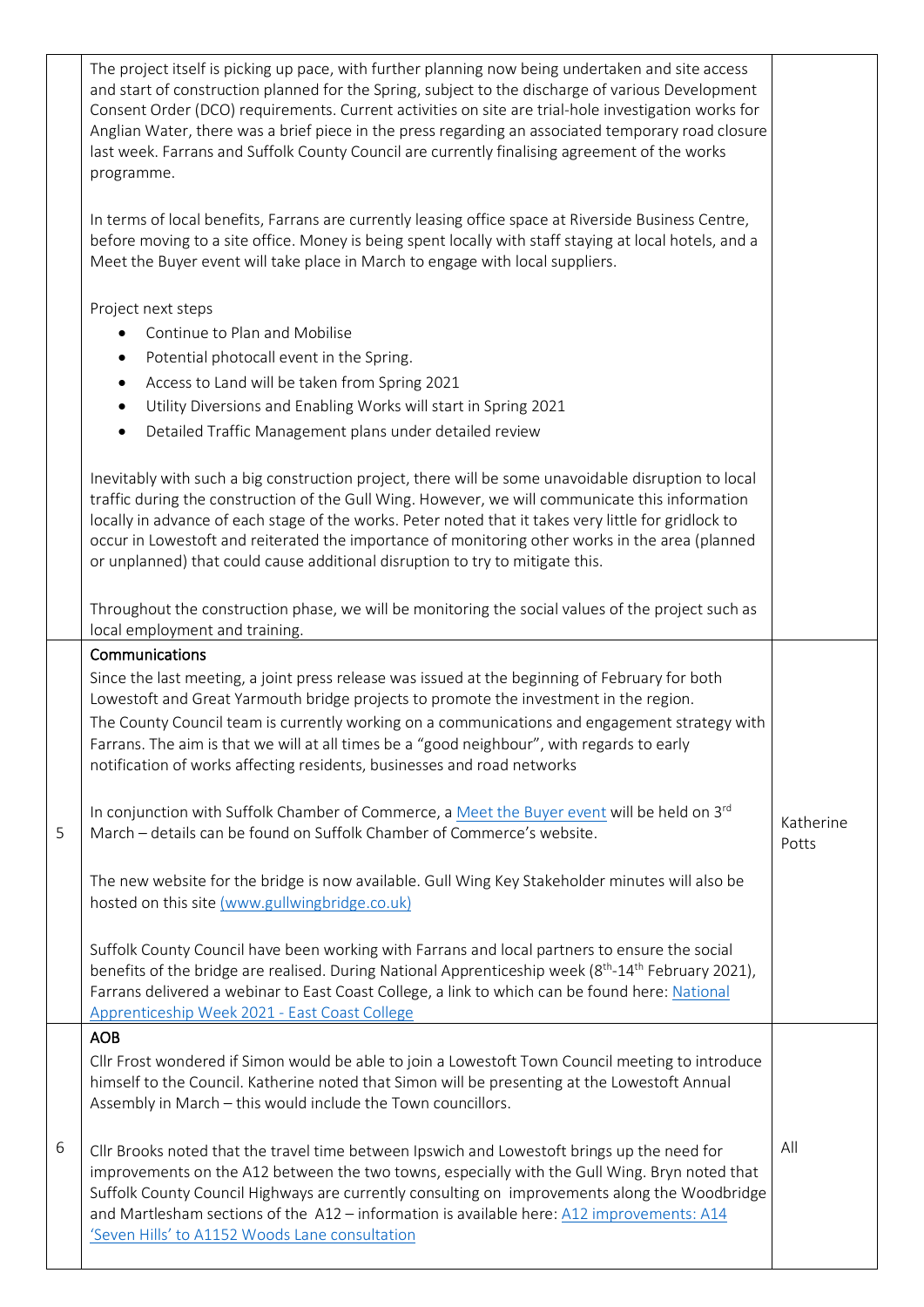|   | The project itself is picking up pace, with further planning now being undertaken and site access<br>and start of construction planned for the Spring, subject to the discharge of various Development<br>Consent Order (DCO) requirements. Current activities on site are trial-hole investigation works for<br>Anglian Water, there was a brief piece in the press regarding an associated temporary road closure<br>last week. Farrans and Suffolk County Council are currently finalising agreement of the works<br>programme. |                    |
|---|------------------------------------------------------------------------------------------------------------------------------------------------------------------------------------------------------------------------------------------------------------------------------------------------------------------------------------------------------------------------------------------------------------------------------------------------------------------------------------------------------------------------------------|--------------------|
|   | In terms of local benefits, Farrans are currently leasing office space at Riverside Business Centre,<br>before moving to a site office. Money is being spent locally with staff staying at local hotels, and a<br>Meet the Buyer event will take place in March to engage with local suppliers.                                                                                                                                                                                                                                    |                    |
|   | Project next steps                                                                                                                                                                                                                                                                                                                                                                                                                                                                                                                 |                    |
|   | Continue to Plan and Mobilise<br>$\bullet$                                                                                                                                                                                                                                                                                                                                                                                                                                                                                         |                    |
|   | Potential photocall event in the Spring.<br>٠                                                                                                                                                                                                                                                                                                                                                                                                                                                                                      |                    |
|   | Access to Land will be taken from Spring 2021<br>٠                                                                                                                                                                                                                                                                                                                                                                                                                                                                                 |                    |
|   | Utility Diversions and Enabling Works will start in Spring 2021<br>$\bullet$                                                                                                                                                                                                                                                                                                                                                                                                                                                       |                    |
|   | Detailed Traffic Management plans under detailed review<br>٠                                                                                                                                                                                                                                                                                                                                                                                                                                                                       |                    |
|   | Inevitably with such a big construction project, there will be some unavoidable disruption to local<br>traffic during the construction of the Gull Wing. However, we will communicate this information<br>locally in advance of each stage of the works. Peter noted that it takes very little for gridlock to<br>occur in Lowestoft and reiterated the importance of monitoring other works in the area (planned<br>or unplanned) that could cause additional disruption to try to mitigate this.                                 |                    |
|   | Throughout the construction phase, we will be monitoring the social values of the project such as<br>local employment and training.                                                                                                                                                                                                                                                                                                                                                                                                |                    |
|   | Communications                                                                                                                                                                                                                                                                                                                                                                                                                                                                                                                     |                    |
|   | Since the last meeting, a joint press release was issued at the beginning of February for both<br>Lowestoft and Great Yarmouth bridge projects to promote the investment in the region.                                                                                                                                                                                                                                                                                                                                            |                    |
|   | The County Council team is currently working on a communications and engagement strategy with<br>Farrans. The aim is that we will at all times be a "good neighbour", with regards to early<br>notification of works affecting residents, businesses and road networks                                                                                                                                                                                                                                                             |                    |
| 5 | In conjunction with Suffolk Chamber of Commerce, a Meet the Buyer event will be held on 3 <sup>rd</sup><br>March - details can be found on Suffolk Chamber of Commerce's website.                                                                                                                                                                                                                                                                                                                                                  | Katherine<br>Potts |
|   | The new website for the bridge is now available. Gull Wing Key Stakeholder minutes will also be<br>hosted on this site (www.gullwingbridge.co.uk)                                                                                                                                                                                                                                                                                                                                                                                  |                    |
|   | Suffolk County Council have been working with Farrans and local partners to ensure the social<br>benefits of the bridge are realised. During National Apprenticeship week (8 <sup>th</sup> -14 <sup>th</sup> February 2021),<br>Farrans delivered a webinar to East Coast College, a link to which can be found here: National<br>Apprenticeship Week 2021 - East Coast College                                                                                                                                                    |                    |
|   | <b>AOB</b><br>Cllr Frost wondered if Simon would be able to join a Lowestoft Town Council meeting to introduce<br>himself to the Council. Katherine noted that Simon will be presenting at the Lowestoft Annual<br>Assembly in March - this would include the Town councillors.                                                                                                                                                                                                                                                    |                    |
| 6 | Cllr Brooks noted that the travel time between Ipswich and Lowestoft brings up the need for<br>improvements on the A12 between the two towns, especially with the Gull Wing. Bryn noted that<br>Suffolk County Council Highways are currently consulting on improvements along the Woodbridge<br>and Martlesham sections of the A12 - information is available here: A12 improvements: A14<br>'Seven Hills' to A1152 Woods Lane consultation                                                                                       | All                |